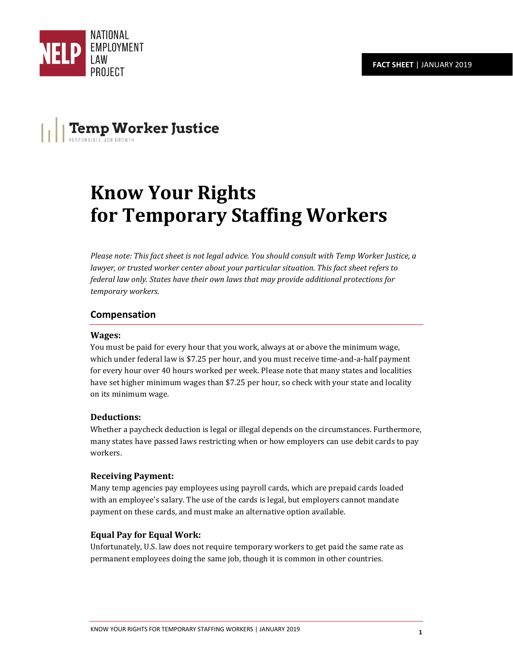

# **Temp Worker Justice**

# **Know Your Rights for Temporary Staffing Workers**

*Please note: This fact sheet is not legal advice. You should consult with Temp Worker Justice, a* lawyer, or trusted worker center about your particular situation. This fact sheet refers to *federal law only. States have their own laws that may provide additional protections for temporary workers.*

### **Compensation**

#### **Wages:**

You must be paid for every hour that you work, always at or above the minimum wage, which under federal law is \$7.25 per hour, and you must receive time-and-a-half payment for every hour over 40 hours worked per week. Please note that many states and localities have set higher minimum wages than \$7.25 per hour, so check with your state and locality on its minimum wage.

#### **Deductions:**

Whether a paycheck deduction is legal or illegal depends on the circumstances. Furthermore, many states have passed laws restricting when or how employers can use debit cards to pay workers.

#### **Receiving Payment:**

Many temp agencies pay employees using payroll cards, which are prepaid cards loaded with an employee's salary. The use of the cards is legal, but employers cannot mandate payment on these cards, and must make an alternative option available.

### **Equal Pay for Equal Work:**

Unfortunately, U.S. law does not require temporary workers to get paid the same rate as permanent employees doing the same job, though it is common in other countries.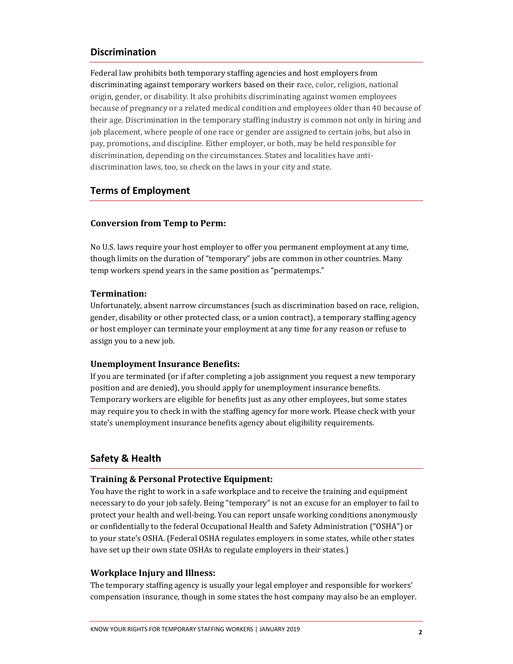### **Discrimination**

Federal law prohibits both temporary staffing agencies and host employers from discriminating against temporary workers based on their race, color, religion, national origin, gender, or disability. It also prohibits discriminating against women employees because of pregnancy or a related medical condition and employees older than 40 because of their age. Discrimination in the temporary staffing industry is common not only in hiring and job placement, where people of one race or gender are assigned to certain jobs, but also in pay, promotions, and discipline. Either employer, or both, may be held responsible for discrimination, depending on the circumstances. States and localities have antidiscrimination laws, too, so check on the laws in your city and state.

#### **Terms of Employment**

#### **Conversion from Temp to Perm:**

No U.S. laws require your host employer to offer you permanent employment at any time, though limits on the duration of "temporary" jobs are common in other countries. Many temp workers spend years in the same position as "permatemps."

#### **Termination:**

Unfortunately, absent narrow circumstances (such as discrimination based on race, religion, gender, disability or other protected class, or a union contract), a temporary staffing agency or host employer can terminate your employment at any time for any reason or refuse to assign you to a new job.

#### **Unemployment Insurance Benefits:**

If you are terminated (or if after completing a job assignment you request a new temporary position and are denied), you should apply for unemployment insurance benefits. Temporary workers are eligible for benefits just as any other employees, but some states may require you to check in with the staffing agency for more work. Please check with your state's unemployment insurance benefits agency about eligibility requirements.

### **Safety & Health**

#### **Training & Personal Protective Equipment:**

You have the right to work in a safe workplace and to receive the training and equipment necessary to do your job safely. Being "temporary" is not an excuse for an employer to fail to protect your health and well-being. You can report unsafe working conditions anonymously or confidentially to the federal Occupational Health and Safety Administration ("OSHA") or to your state's OSHA. (Federal OSHA regulates employers in some states, while other states have set up their own state OSHAs to regulate employers in their states.)

#### **Workplace Injury and Illness:**

The temporary staffing agency is usually your legal employer and responsible for workers' compensation insurance, though in some states the host company may also be an employer.